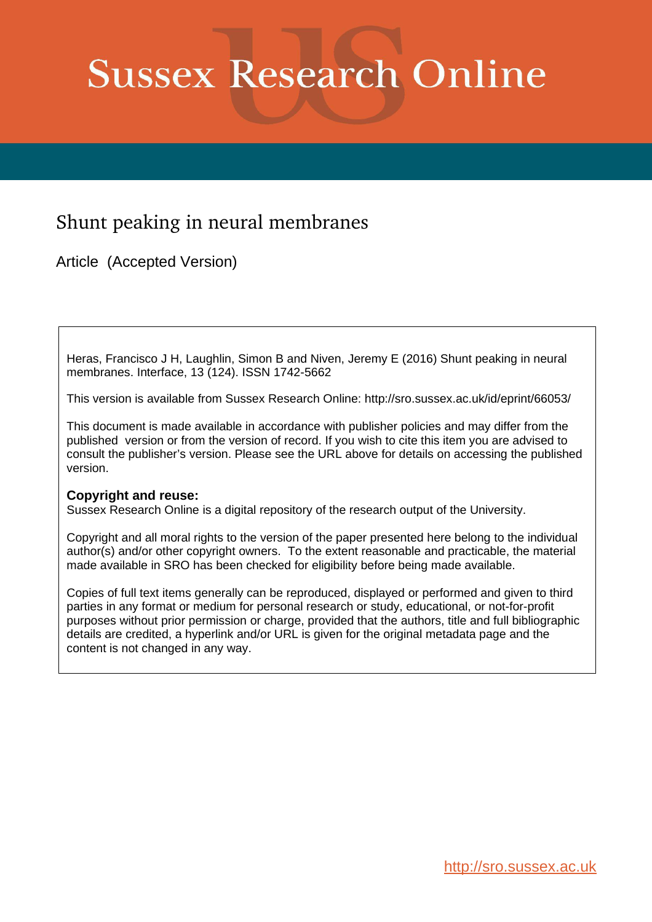# **Sussex Research Online**

# Shunt peaking in neural membranes

Article (Accepted Version)

Heras, Francisco J H, Laughlin, Simon B and Niven, Jeremy E (2016) Shunt peaking in neural membranes. Interface, 13 (124). ISSN 1742-5662

This version is available from Sussex Research Online: http://sro.sussex.ac.uk/id/eprint/66053/

This document is made available in accordance with publisher policies and may differ from the published version or from the version of record. If you wish to cite this item you are advised to consult the publisher's version. Please see the URL above for details on accessing the published version.

#### **Copyright and reuse:**

Sussex Research Online is a digital repository of the research output of the University.

Copyright and all moral rights to the version of the paper presented here belong to the individual author(s) and/or other copyright owners. To the extent reasonable and practicable, the material made available in SRO has been checked for eligibility before being made available.

Copies of full text items generally can be reproduced, displayed or performed and given to third parties in any format or medium for personal research or study, educational, or not-for-profit purposes without prior permission or charge, provided that the authors, title and full bibliographic details are credited, a hyperlink and/or URL is given for the original metadata page and the content is not changed in any way.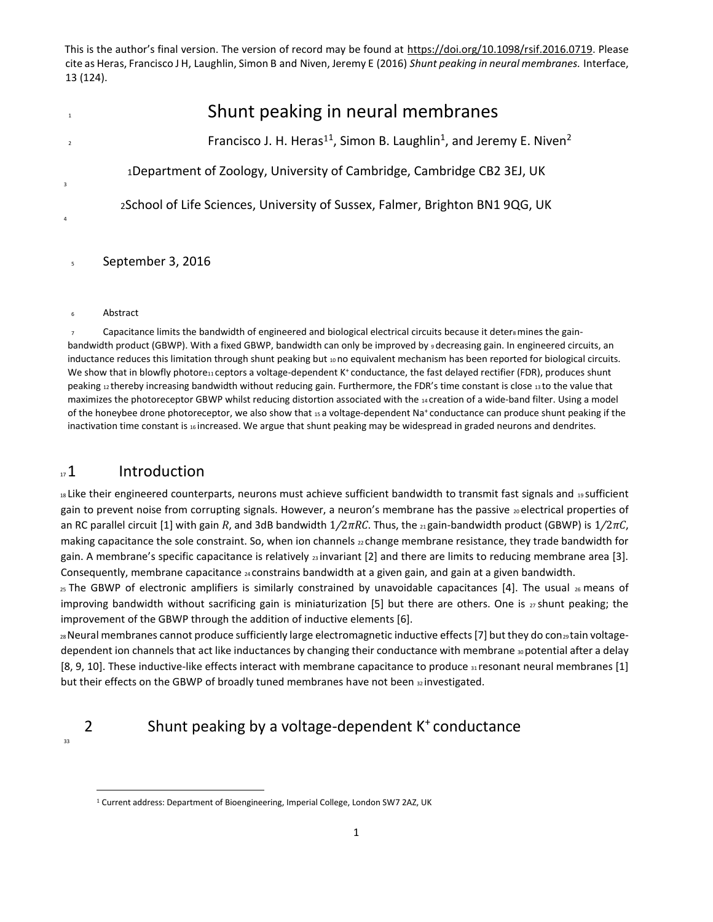| $\overline{1}$          | Shunt peaking in neural membranes                                                                       |
|-------------------------|---------------------------------------------------------------------------------------------------------|
| $\overline{2}$          | Francisco J. H. Heras <sup>11</sup> , Simon B. Laughlin <sup>1</sup> , and Jeremy E. Niven <sup>2</sup> |
| $\overline{\mathbf{3}}$ | 1Department of Zoology, University of Cambridge, Cambridge CB2 3EJ, UK                                  |
| 4                       | 2School of Life Sciences, University of Sussex, Falmer, Brighton BN1 9QG, UK                            |

<sup>5</sup> September 3, 2016

<sup>6</sup> Abstract

 $\tau$  Capacitance limits the bandwidth of engineered and biological electrical circuits because it deters mines the gainbandwidth product (GBWP). With a fixed GBWP, bandwidth can only be improved by 9 decreasing gain. In engineered circuits, an inductance reduces this limitation through shunt peaking but 10 no equivalent mechanism has been reported for biological circuits. We show that in blowfly photore11 ceptors a voltage-dependent K<sup>+</sup> conductance, the fast delayed rectifier (FDR), produces shunt peaking  $12$  thereby increasing bandwidth without reducing gain. Furthermore, the FDR's time constant is close  $13$  to the value that maximizes the photoreceptor GBWP whilst reducing distortion associated with the 14 creation of a wide-band filter. Using a model of the honeybee drone photoreceptor, we also show that 15 a voltage-dependent Na+conductance can produce shunt peaking if the inactivation time constant is 16 increased. We argue that shunt peaking may be widespread in graded neurons and dendrites.

#### $\mathbb{Z}$  1 Introduction

18 Like their engineered counterparts, neurons must achieve sufficient bandwidth to transmit fast signals and 19 Sufficient gain to prevent noise from corrupting signals. However, a neuron's membrane has the passive  $20$  electrical properties of an RC parallel circuit [1] with gain *R*, and 3dB bandwidth 1*/*2*πRC*. Thus, the 21 gain-bandwidth product (GBWP) is 1*/*2*πC*, making capacitance the sole constraint. So, when ion channels 22 change membrane resistance, they trade bandwidth for gain. A membrane's specific capacitance is relatively  $_{23}$  invariant [2] and there are limits to reducing membrane area [3]. Consequently, membrane capacitance 24 constrains bandwidth at a given gain, and gain at a given bandwidth.

 $25$  The GBWP of electronic amplifiers is similarly constrained by unavoidable capacitances [4]. The usual  $26$  means of improving bandwidth without sacrificing gain is miniaturization [5] but there are others. One is  $27$  shunt peaking; the improvement of the GBWP through the addition of inductive elements [6].

28 Neural membranes cannot produce sufficiently large electromagnetic inductive effects [7] but they do con29 tain voltagedependent ion channels that act like inductances by changing their conductance with membrane 30 potential after a delay [8, 9, 10]. These inductive-like effects interact with membrane capacitance to produce  $\frac{1}{31}$  resonant neural membranes [1] but their effects on the GBWP of broadly tuned membranes have not been 32 investigated.

## 2 Shunt peaking by a voltage-dependent K<sup>+</sup> conductance

33

 $\overline{a}$ 

<sup>1</sup> Current address: Department of Bioengineering, Imperial College, London SW7 2AZ, UK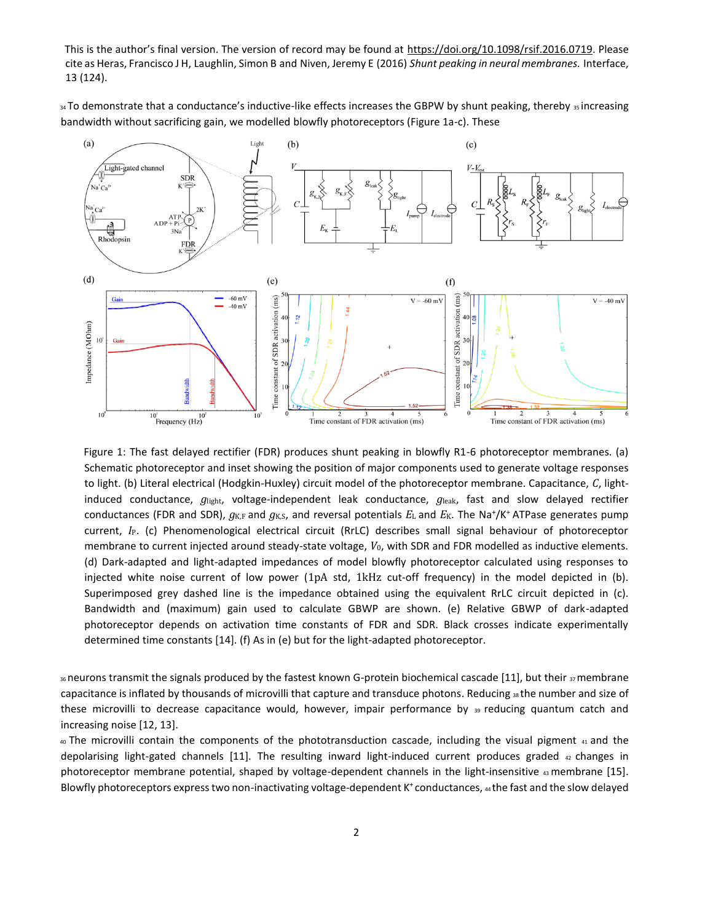34 To demonstrate that a conductance's inductive-like effects increases the GBPW by shunt peaking, thereby 35 increasing bandwidth without sacrificing gain, we modelled blowfly photoreceptors (Figure 1a-c). These



Figure 1: The fast delayed rectifier (FDR) produces shunt peaking in blowfly R1-6 photoreceptor membranes. (a) Schematic photoreceptor and inset showing the position of major components used to generate voltage responses to light. (b) Literal electrical (Hodgkin-Huxley) circuit model of the photoreceptor membrane. Capacitance, *C*, lightinduced conductance, *g*light, voltage-independent leak conductance, *g*leak, fast and slow delayed rectifier conductances (FDR and SDR),  $g_{K,F}$  and  $g_{K,S}$ , and reversal potentials  $E_L$  and  $E_K$ . The Na<sup>+</sup>/K<sup>+</sup> ATPase generates pump current, *I*P. (c) Phenomenological electrical circuit (RrLC) describes small signal behaviour of photoreceptor membrane to current injected around steady-state voltage, *V*0, with SDR and FDR modelled as inductive elements. (d) Dark-adapted and light-adapted impedances of model blowfly photoreceptor calculated using responses to injected white noise current of low power (1pA std, 1kHz cut-off frequency) in the model depicted in (b). Superimposed grey dashed line is the impedance obtained using the equivalent RrLC circuit depicted in (c). Bandwidth and (maximum) gain used to calculate GBWP are shown. (e) Relative GBWP of dark-adapted photoreceptor depends on activation time constants of FDR and SDR. Black crosses indicate experimentally determined time constants [14]. (f) As in (e) but for the light-adapted photoreceptor.

36 neurons transmit the signals produced by the fastest known G-protein biochemical cascade [11], but their 37 membrane capacitance is inflated by thousands of microvilli that capture and transduce photons. Reducing 38 the number and size of these microvilli to decrease capacitance would, however, impair performance by 39 reducing quantum catch and increasing noise [12, 13].

<sup>40</sup>The microvilli contain the components of the phototransduction cascade, including the visual pigment 41 and the depolarising light-gated channels [11]. The resulting inward light-induced current produces graded  $42$  changes in photoreceptor membrane potential, shaped by voltage-dependent channels in the light-insensitive  $43$  membrane [15]. Blowfly photoreceptors express two non-inactivating voltage-dependent K<sup>+</sup>conductances, 44 the fast and the slow delayed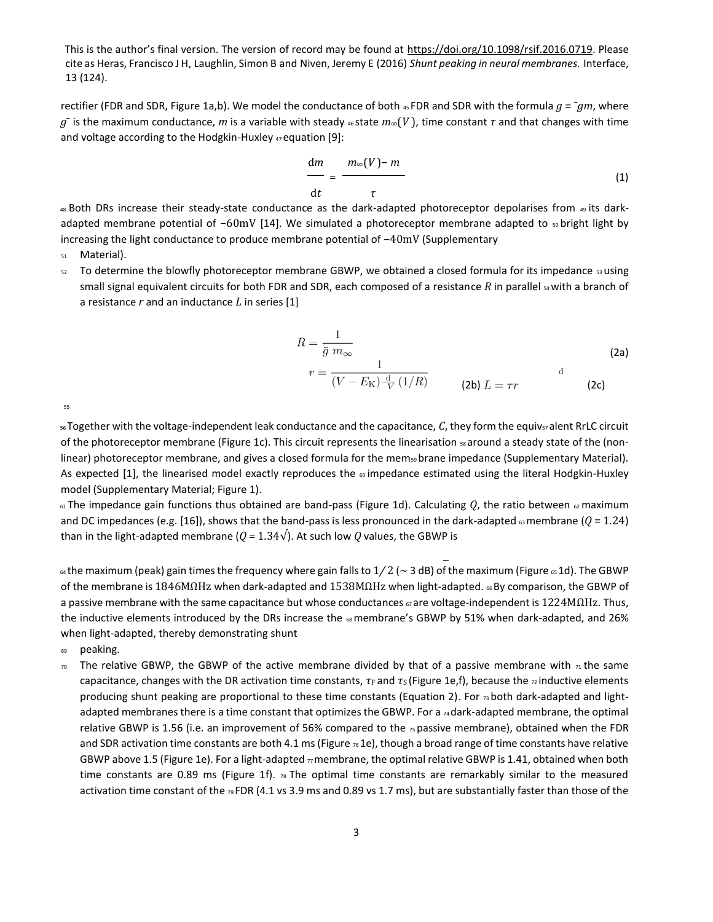This is the author's final version. The version of record may be found at [https://doi.org/10.1098/rsif.2016.0719.](https://exchange.sussex.ac.uk/owa/redir.aspx?C=z2jbO-CryQpxyEDQ_QibAiMvZKEEEmhLAHHlaNIGObxnL6mDfjjUCA..&URL=https%3a%2f%2fdoi.org%2f10.1098%2frsif.2016.0719) Please cite as Heras, Francisco J H, Laughlin, Simon B and Niven, Jeremy E (2016) *Shunt peaking in neural membranes.* Interface, 13 (124).

rectifier (FDR and SDR, Figure 1a,b). We model the conductance of both 45 FDR and SDR with the formula  $g = -gm$ , where *g*¯ is the maximum conductance, *m* is a variable with steady 46 state *m*∞(*V* ), time constant *τ* and that changes with time and voltage according to the Hodgkin-Huxley 47 equation [9]:

$$
\frac{\mathrm{d}m}{\mathrm{d}t} = \frac{m\in(V)-m}{\tau} \tag{1}
$$

48 Both DRs increase their steady-state conductance as the dark-adapted photoreceptor depolarises from 49 its darkadapted membrane potential of −60mV [14]. We simulated a photoreceptor membrane adapted to so bright light by increasing the light conductance to produce membrane potential of −40mV (Supplementary

- <sup>51</sup> Material).
- $52$  To determine the blowfly photoreceptor membrane GBWP, we obtained a closed formula for its impedance  $53$  using small signal equivalent circuits for both FDR and SDR, each composed of a resistance *R* in parallel <sub>54</sub> with a branch of a resistance *r* and an inductance *L* in series [1]

$$
R = \frac{1}{\bar{g} \ m_{\infty}} \tag{2a}
$$
\n
$$
r = \frac{1}{(V - E_{\rm K}) \frac{\rm d}{V} (1/R)} \tag{2b}
$$
\n
$$
L = \tau r \tag{2c}
$$

55

56Together with the voltage-independent leak conductance and the capacitance, C, they form the equiv57 alent RrLC circuit of the photoreceptor membrane (Figure 1c). This circuit represents the linearisation  $ss$  around a steady state of the (nonlinear) photoreceptor membrane, and gives a closed formula for the mem<sub>59</sub> brane impedance (Supplementary Material). As expected [1], the linearised model exactly reproduces the  $\omega$  impedance estimated using the literal Hodgkin-Huxley model (Supplementary Material; Figure 1).

 $61$  The impedance gain functions thus obtained are band-pass (Figure 1d). Calculating  $Q$ , the ratio between  $62$  maximum and DC impedances (e.g. [16]), shows that the band-pass is less pronounced in the dark-adapted  $63$  membrane ( $Q = 1.24$ ) than in the light-adapted membrane ( $Q = 1.34\sqrt{ }$ ). At such low  $Q$  values, the GBWP is

<sup>64</sup>the maximum (peak) gain times the frequency where gain falls to 1*/* 2 (∼ 3 dB) of the maximum (Figure 65 1d). The GBWP of the membrane is 1846MΩHz when dark-adapted and 1538MΩHz when light-adapted. 66 By comparison, the GBWP of a passive membrane with the same capacitance but whose conductances <sub>67</sub> are voltage-independent is 1224MΩHz. Thus, the inductive elements introduced by the DRs increase the  $\epsilon_8$  membrane's GBWP by 51% when dark-adapted, and 26% when light-adapted, thereby demonstrating shunt

<sup>69</sup> peaking.

The relative GBWP, the GBWP of the active membrane divided by that of a passive membrane with  $\pi$  the same capacitance, changes with the DR activation time constants, *τ*F and *τ*s (Figure 1e, f), because the <sub>72</sub> inductive elements producing shunt peaking are proportional to these time constants (Equation 2). For  $\frac{1}{73}$  both dark-adapted and lightadapted membranes there is a time constant that optimizes the GBWP. For a <sub>74</sub> dark-adapted membrane, the optimal relative GBWP is 1.56 (i.e. an improvement of 56% compared to the  $\pi$  passive membrane), obtained when the FDR and SDR activation time constants are both 4.1 ms (Figure  $\frac{1}{6}$  fleps), though a broad range of time constants have relative GBWP above 1.5 (Figure 1e). For a light-adapted  $\pi$  membrane, the optimal relative GBWP is 1.41, obtained when both time constants are 0.89 ms (Figure 1f).  $n_8$  The optimal time constants are remarkably similar to the measured activation time constant of the 79 FDR (4.1 vs 3.9 ms and 0.89 vs 1.7 ms), but are substantially faster than those of the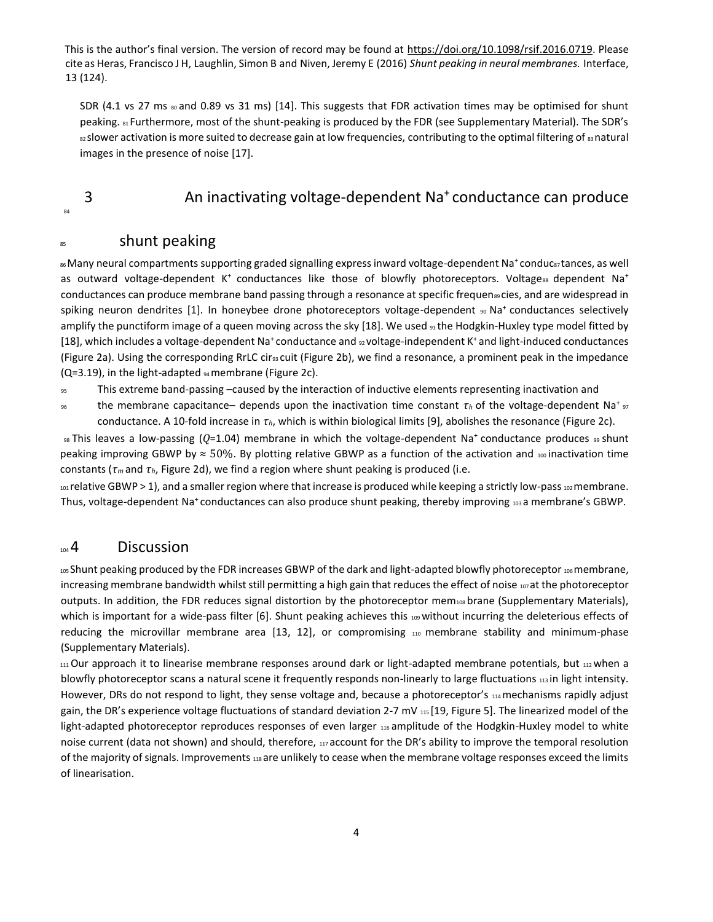SDR (4.1 vs 27 ms  $_{80}$  and 0.89 vs 31 ms) [14]. This suggests that FDR activation times may be optimised for shunt peaking.  $s_1$  Furthermore, most of the shunt-peaking is produced by the FDR (see Supplementary Material). The SDR's 82 slower activation is more suited to decrease gain at low frequencies, contributing to the optimal filtering of 83 natural images in the presence of noise [17].

### 84

#### 3 An inactivating voltage-dependent Na<sup>+</sup>conductance can produce

#### <sup>85</sup> shunt peaking

86 Many neural compartments supporting graded signalling express inward voltage-dependent Na<sup>+</sup>conduc87 tances, as well as outward voltage-dependent K<sup>+</sup> conductances like those of blowfly photoreceptors. Voltagess dependent Na<sup>+</sup> conductances can produce membrane band passing through a resonance at specific frequen<sup>89</sup> cies, and are widespread in spiking neuron dendrites [1]. In honeybee drone photoreceptors voltage-dependent 90 Na<sup>+</sup> conductances selectively amplify the punctiform image of a queen moving across the sky [18]. We used <sub>91</sub> the Hodgkin-Huxley type model fitted by [18], which includes a voltage-dependent Na<sup>+</sup> conductance and <sub>92</sub> voltage-independent K<sup>+</sup> and light-induced conductances (Figure 2a). Using the corresponding RrLC cir<sup>93</sup> cuit (Figure 2b), we find a resonance, a prominent peak in the impedance (Q=3.19), in the light-adapted 94 membrane (Figure 2c).

<sup>95</sup> This extreme band-passing –caused by the interaction of inductive elements representing inactivation and

 $\sigma$  the membrane capacitance– depends upon the inactivation time constant  $\tau_h$  of the voltage-dependent Na<sup>+</sup>  $\sigma$ conductance. A 10-fold increase in *τh*, which is within biological limits [9], abolishes the resonance (Figure 2c).

<sup>98</sup>This leaves a low-passing (*Q*=1.04) membrane in which the voltage-dependent Na<sup>+</sup>conductance produces 99 shunt peaking improving GBWP by  $\approx$  50%. By plotting relative GBWP as a function of the activation and 100 inactivation time constants (*τm* and *τh*, Figure 2d), we find a region where shunt peaking is produced (i.e.

101 relative GBWP > 1), and a smaller region where that increase is produced while keeping a strictly low-pass 102 membrane. Thus, voltage-dependent Na<sup>+</sup>conductances can also produce shunt peaking, thereby improving 103 a membrane's GBWP.

#### $104$  Discussion

105 Shunt peaking produced by the FDR increases GBWP of the dark and light-adapted blowfly photoreceptor 106 membrane, increasing membrane bandwidth whilst still permitting a high gain that reduces the effect of noise 107 at the photoreceptor outputs. In addition, the FDR reduces signal distortion by the photoreceptor mem108 brane (Supplementary Materials), which is important for a wide-pass filter [6]. Shunt peaking achieves this 109 without incurring the deleterious effects of reducing the microvillar membrane area [13, 12], or compromising 110 membrane stability and minimum-phase (Supplementary Materials).

 $111$  Our approach it to linearise membrane responses around dark or light-adapted membrane potentials, but  $112$  when a blowfly photoreceptor scans a natural scene it frequently responds non-linearly to large fluctuations 113 in light intensity. However, DRs do not respond to light, they sense voltage and, because a photoreceptor's 114 mechanisms rapidly adjust gain, the DR's experience voltage fluctuations of standard deviation 2-7 mV 115 [19, Figure 5]. The linearized model of the light-adapted photoreceptor reproduces responses of even larger 116 amplitude of the Hodgkin-Huxley model to white noise current (data not shown) and should, therefore, 117 account for the DR's ability to improve the temporal resolution of the majority of signals. Improvements 118 are unlikely to cease when the membrane voltage responses exceed the limits of linearisation.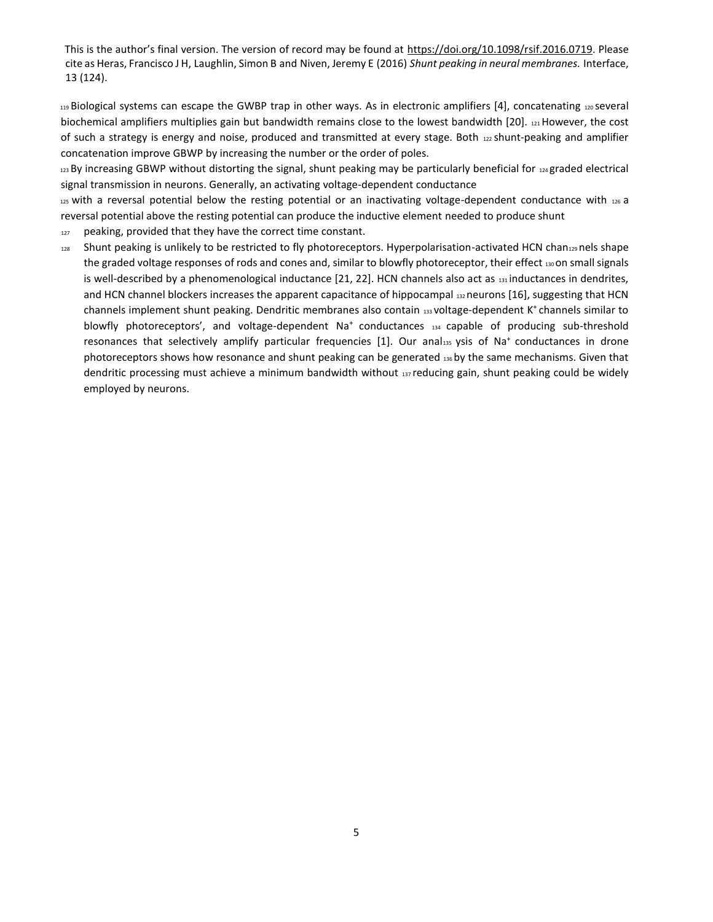<sup>119</sup>Biological systems can escape the GWBP trap in other ways. As in electronic amplifiers [4], concatenating 120 several biochemical amplifiers multiplies gain but bandwidth remains close to the lowest bandwidth [20]. 121 However, the cost of such a strategy is energy and noise, produced and transmitted at every stage. Both  $_{122}$  shunt-peaking and amplifier concatenation improve GBWP by increasing the number or the order of poles.

 $123$  By increasing GBWP without distorting the signal, shunt peaking may be particularly beneficial for  $124$  graded electrical signal transmission in neurons. Generally, an activating voltage-dependent conductance

 $125$  with a reversal potential below the resting potential or an inactivating voltage-dependent conductance with  $126$  a reversal potential above the resting potential can produce the inductive element needed to produce shunt

- 127 peaking, provided that they have the correct time constant.
- 128 Shunt peaking is unlikely to be restricted to fly photoreceptors. Hyperpolarisation-activated HCN chan<sub>129</sub> nels shape the graded voltage responses of rods and cones and, similar to blowfly photoreceptor, their effect 130 on small signals is well-described by a phenomenological inductance  $[21, 22]$ . HCN channels also act as  $131$  inductances in dendrites, and HCN channel blockers increases the apparent capacitance of hippocampal 132 neurons [16], suggesting that HCN channels implement shunt peaking. Dendritic membranes also contain 133 voltage-dependent K<sup>+</sup>channels similar to blowfly photoreceptors', and voltage-dependent Na<sup>+</sup> conductances 134 capable of producing sub-threshold resonances that selectively amplify particular frequencies [1]. Our anal<sub>135</sub> ysis of Na<sup>+</sup> conductances in drone photoreceptors shows how resonance and shunt peaking can be generated 136 by the same mechanisms. Given that dendritic processing must achieve a minimum bandwidth without 137 reducing gain, shunt peaking could be widely employed by neurons.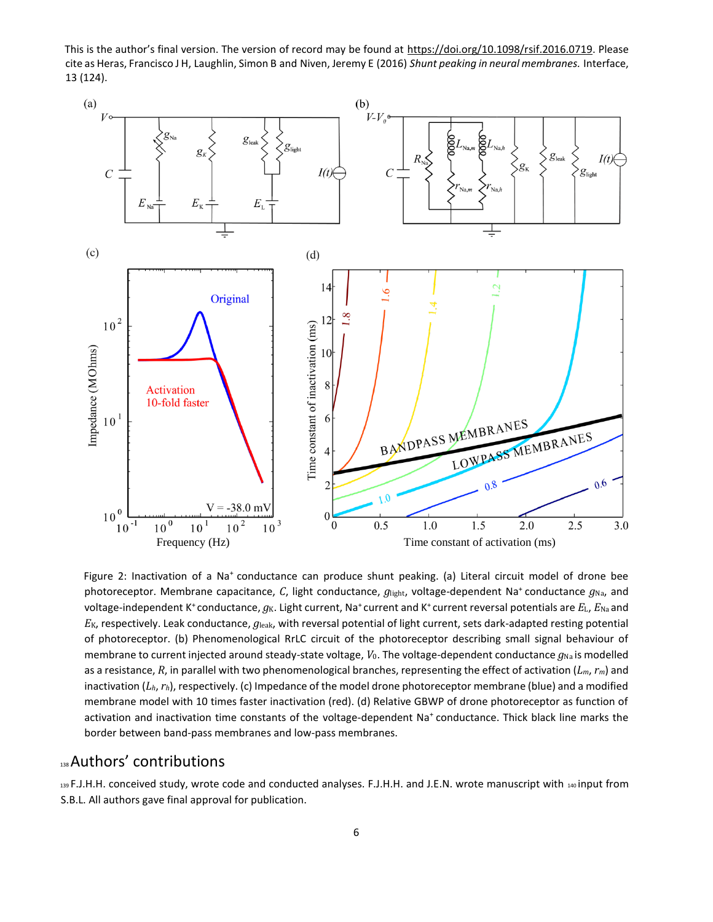This is the author's final version. The version of record may be found at [https://doi.org/10.1098/rsif.2016.0719.](https://exchange.sussex.ac.uk/owa/redir.aspx?C=z2jbO-CryQpxyEDQ_QibAiMvZKEEEmhLAHHlaNIGObxnL6mDfjjUCA..&URL=https%3a%2f%2fdoi.org%2f10.1098%2frsif.2016.0719) Please cite as Heras, Francisco J H, Laughlin, Simon B and Niven, Jeremy E (2016) *Shunt peaking in neural membranes.* Interface, 13 (124).



Figure 2: Inactivation of a Na<sup>+</sup> conductance can produce shunt peaking. (a) Literal circuit model of drone bee photoreceptor. Membrane capacitance, *C*, light conductance,  $g_{\text{light}}$ , voltage-dependent Na<sup>+</sup> conductance  $g_{\text{Na}}$ , and voltage-independent K<sup>+</sup> conductance,  $g_K$ . Light current, Na<sup>+</sup> current and K<sup>+</sup> current reversal potentials are *E*<sub>L</sub>, *E*<sub>Na</sub> and  $E_{\rm K}$ , respectively. Leak conductance,  $g_{\rm leak}$ , with reversal potential of light current, sets dark-adapted resting potential of photoreceptor. (b) Phenomenological RrLC circuit of the photoreceptor describing small signal behaviour of membrane to current injected around steady-state voltage,  $V_0$ . The voltage-dependent conductance  $g_{\text{Na}}$  is modelled as a resistance, *R*, in parallel with two phenomenological branches, representing the effect of activation (*Lm*, *rm*) and inactivation (*Lh*, *rh*), respectively. (c) Impedance of the model drone photoreceptor membrane (blue) and a modified membrane model with 10 times faster inactivation (red). (d) Relative GBWP of drone photoreceptor as function of activation and inactivation time constants of the voltage-dependent Na<sup>+</sup> conductance. Thick black line marks the border between band-pass membranes and low-pass membranes.

#### 138 Authors' contributions

139 F.J.H.H. conceived study, wrote code and conducted analyses. F.J.H.H. and J.E.N. wrote manuscript with 140 input from S.B.L. All authors gave final approval for publication.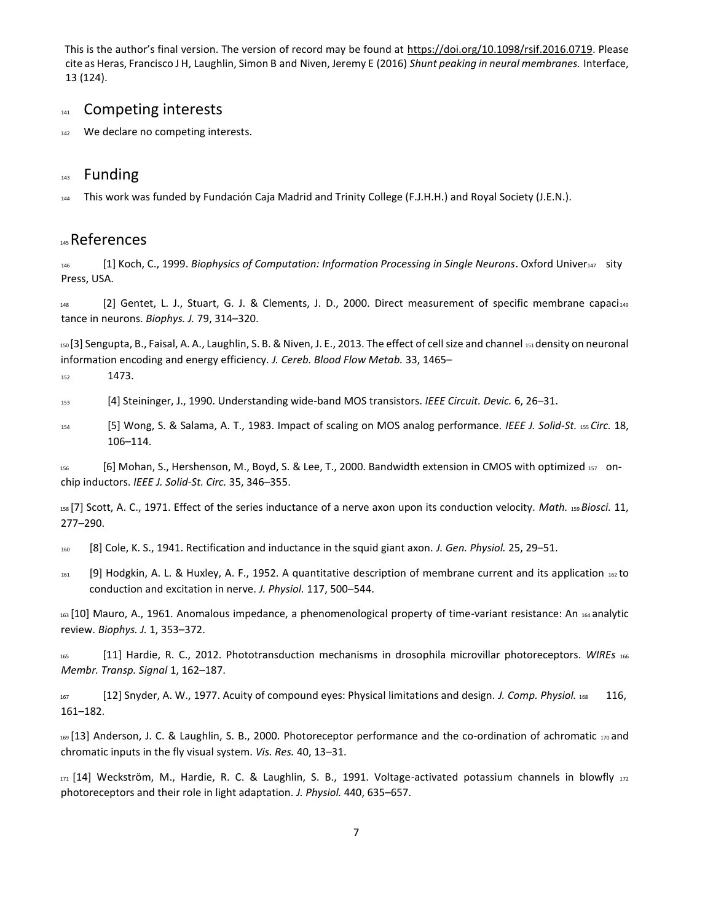#### 141 Competing interests

142 We declare no competing interests.

#### 143 Funding

<sup>144</sup> This work was funded by Fundación Caja Madrid and Trinity College (F.J.H.H.) and Royal Society (J.E.N.).

#### <sup>145</sup>References

<sup>146</sup> [1] Koch, C., 1999. *Biophysics of Computation: Information Processing in Single Neurons*. Oxford Univer<sup>147</sup> sity Press, USA.

148 [2] Gentet, L. J., Stuart, G. J. & Clements, J. D., 2000. Direct measurement of specific membrane capaci<sub>149</sub> tance in neurons. *Biophys. J.* 79, 314–320.

<sup>150</sup>[3] Sengupta, B., Faisal, A. A., Laughlin, S. B. & Niven, J. E., 2013. The effect of cell size and channel 151 density on neuronal information encoding and energy efficiency. *J. Cereb. Blood Flow Metab.* 33, 1465–

<sup>152</sup> 1473.

<sup>153</sup> [4] Steininger, J., 1990. Understanding wide-band MOS transistors. *IEEE Circuit. Devic.* 6, 26–31.

<sup>154</sup> [5] Wong, S. & Salama, A. T., 1983. Impact of scaling on MOS analog performance. *IEEE J. Solid-St.* 155 *Circ.* 18, 106–114.

<sup>156</sup> [6] Mohan, S., Hershenson, M., Boyd, S. & Lee, T., 2000. Bandwidth extension in CMOS with optimized <sup>157</sup> onchip inductors. *IEEE J. Solid-St. Circ.* 35, 346–355.

<sup>158</sup>[7] Scott, A. C., 1971. Effect of the series inductance of a nerve axon upon its conduction velocity. *Math.* 159 *Biosci.* 11, 277–290.

<sup>160</sup> [8] Cole, K. S., 1941. Rectification and inductance in the squid giant axon. *J. Gen. Physiol.* 25, 29–51.

<sup>161</sup> [9] Hodgkin, A. L. & Huxley, A. F., 1952. A quantitative description of membrane current and its application 162 to conduction and excitation in nerve. *J. Physiol.* 117, 500–544.

163<sup>[10]</sup> Mauro, A., 1961. Anomalous impedance, a phenomenological property of time-variant resistance: An 164 analytic review. *Biophys. J.* 1, 353–372.

<sup>165</sup> [11] Hardie, R. C., 2012. Phototransduction mechanisms in drosophila microvillar photoreceptors. *WIREs* <sup>166</sup> *Membr. Transp. Signal* 1, 162–187.

<sup>167</sup> [12] Snyder, A. W., 1977. Acuity of compound eyes: Physical limitations and design. *J. Comp. Physiol.* <sup>168</sup> 116, 161–182.

169 [13] Anderson, J. C. & Laughlin, S. B., 2000. Photoreceptor performance and the co-ordination of achromatic 170 and chromatic inputs in the fly visual system. *Vis. Res.* 40, 13–31.

171<sup>[14]</sup> Weckström, M., Hardie, R. C. & Laughlin, S. B., 1991. Voltage-activated potassium channels in blowfly 172 photoreceptors and their role in light adaptation. *J. Physiol.* 440, 635–657.